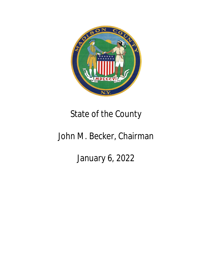

## State of the County

## John M. Becker, Chairman

January 6, 2022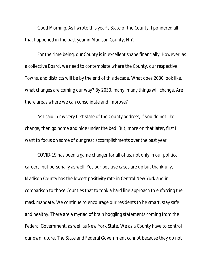Good Morning. As I wrote this year's State of the County, I pondered all that happened in the past year in Madison County, N.Y.

For the time being, our County is in excellent shape financially. However, as a collective Board, we need to contemplate where the County, our respective Towns, and districts will be by the end of this decade. What does 2030 look like, what changes are coming our way? By 2030, many, many things will change. Are there areas where we can consolidate and improve?

As I said in my very first state of the County address, if you do not like change, then go home and hide under the bed. But, more on that later, first I want to focus on some of our great accomplishments over the past year.

COVID-19 has been a game changer for all of us, not only in our political careers, but personally as well. Yes our positive cases are up but thankfully, Madison County has the lowest positivity rate in Central New York and in comparison to those Counties that to took a hard line approach to enforcing the mask mandate. We continue to encourage our residents to be smart, stay safe and healthy. There are a myriad of brain boggling statements coming from the Federal Government, as well as New York State. We as a County have to control our own future. The State and Federal Government cannot because they do not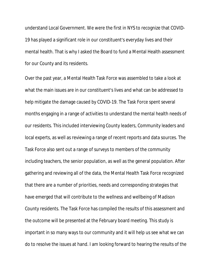understand Local Government. We were the first in NYS to recognize that COVID-19 has played a significant role in our constituent's everyday lives and their mental health. That is why I asked the Board to fund a Mental Health assessment for our County and its residents.

Over the past year, a Mental Health Task Force was assembled to take a look at what the main issues are in our constituent's lives and what can be addressed to help mitigate the damage caused by COVID-19. The Task Force spent several months engaging in a range of activities to understand the mental health needs of our residents. This included interviewing County leaders, Community leaders and local experts, as well as reviewing a range of recent reports and data sources. The Task Force also sent out a range of surveys to members of the community including teachers, the senior population, as well as the general population. After gathering and reviewing all of the data, the Mental Health Task Force recognized that there are a number of priorities, needs and corresponding strategies that have emerged that will contribute to the wellness and wellbeing of Madison County residents. The Task Force has compiled the results of this assessment and the outcome will be presented at the February board meeting. This study is important in so many ways to our community and it will help us see what we can do to resolve the issues at hand. I am looking forward to hearing the results of the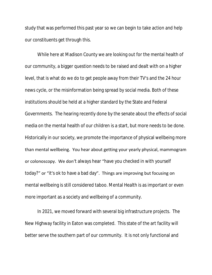study that was performed this past year so we can begin to take action and help our constituents get through this.

While here at Madison County we are looking out for the mental health of our community, a bigger question needs to be raised and dealt with on a higher level, that is what do we do to get people away from their TV's and the 24 hour news cycle, or the misinformation being spread by social media. Both of these institutions should be held at a higher standard by the State and Federal Governments. The hearing recently done by the senate about the effects of social media on the mental health of our children is a start, but more needs to be done. Historically in our society, we promote the importance of physical wellbeing more than mental wellbeing. You hear about getting your yearly physical, mammogram or colonoscopy. We don't always hear "have you checked in with yourself today?" or "it's ok to have a bad day". Things are improving but focusing on mental wellbeing is still considered taboo. Mental Health is as important or even more important as a society and wellbeing of a community.

In 2021, we moved forward with several big infrastructure projects. The New Highway facility in Eaton was completed. This state of the art facility will better serve the southern part of our community. It is not only functional and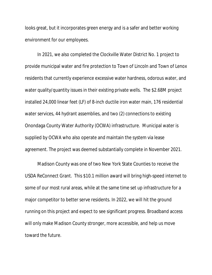looks great, but it incorporates green energy and is a safer and better working environment for our employees.

In 2021, we also completed the Clockville Water District No. 1 project to provide municipal water and fire protection to Town of Lincoln and Town of Lenox residents that currently experience excessive water hardness, odorous water, and water quality/quantity issues in their existing private wells. The \$2.68M project installed 24,000 linear feet (LF) of 8-inch ductile iron water main, 176 residential water services, 44 hydrant assemblies, and two (2) connections to existing Onondaga County Water Authority (OCWA) infrastructure. Municipal water is supplied by OCWA who also operate and maintain the system via lease agreement. The project was deemed substantially complete in November 2021.

Madison County was one of two New York State Counties to receive the USDA ReConnect Grant. This \$10.1 million award will bring high-speed internet to some of our most rural areas, while at the same time set up infrastructure for a major competitor to better serve residents. In 2022, we will hit the ground running on this project and expect to see significant progress. Broadband access will only make Madison County stronger, more accessible, and help us move toward the future.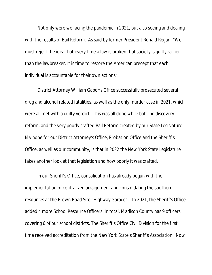Not only were we facing the pandemic in 2021, but also seeing and dealing with the results of Bail Reform. As said by former President Ronald Regan, "We must reject the idea that every time a law is broken that society is guilty rather than the lawbreaker. It is time to restore the American precept that each individual is accountable for their own actions"

District Attorney William Gabor's Office successfully prosecuted several drug and alcohol related fatalities, as well as the only murder case in 2021, which were all met with a guilty verdict. This was all done while battling discovery reform, and the very poorly crafted Bail Reform created by our State Legislature. My hope for our District Attorney's Office, Probation Office and the Sheriff's Office, as well as our community, is that in 2022 the New York State Legislature takes another look at that legislation and how poorly it was crafted.

In our Sheriff's Office, consolidation has already begun with the implementation of centralized arraignment and consolidating the southern resources at the Brown Road Site "Highway Garage". In 2021, the Sheriff's Office added 4 more School Resource Officers. In total, Madison County has 9 officers covering 6 of our school districts. The Sheriff's Office Civil Division for the first time received accreditation from the New York State's Sheriff's Association. Now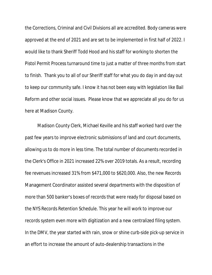the Corrections, Criminal and Civil Divisions all are accredited. Body cameras were approved at the end of 2021 and are set to be implemented in first half of 2022. I would like to thank Sheriff Todd Hood and his staff for working to shorten the Pistol Permit Process turnaround time to just a matter of three months from start to finish. Thank you to all of our Sheriff staff for what you do day in and day out to keep our community safe. I know it has not been easy with legislation like Bail Reform and other social issues. Please know that we appreciate all you do for us here at Madison County.

Madison County Clerk, Michael Keville and his staff worked hard over the past few years to improve electronic submissions of land and court documents, allowing us to do more in less time. The total number of documents recorded in the Clerk's Office in 2021 increased 22% over 2019 totals. As a result, recording fee revenues increased 31% from \$471,000 to \$620,000. Also, the new Records Management Coordinator assisted several departments with the disposition of more than 500 banker's boxes of records that were ready for disposal based on the NYS Records Retention Schedule. This year he will work to improve our records system even more with digitization and a new centralized filing system. In the DMV, the year started with rain, snow or shine curb-side pick-up service in an effort to increase the amount of auto-dealership transactions in the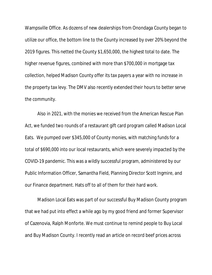Wampsville Office. As dozens of new dealerships from Onondaga County began to utilize our office, the bottom line to the County increased by over 20% beyond the 2019 figures. This netted the County \$1,650,000, the highest total to date. The higher revenue figures, combined with more than \$700,000 in mortgage tax collection, helped Madison County offer its tax payers a year with no increase in the property tax levy. The DMV also recently extended their hours to better serve the community.

Also in 2021, with the monies we received from the American Rescue Plan Act, we funded two rounds of a restaurant gift card program called Madison Local Eats. We pumped over \$345,000 of County monies, with matching funds for a total of \$690,000 into our local restaurants, which were severely impacted by the COVID-19 pandemic. This was a wildly successful program, administered by our Public Information Officer, Samantha Field, Planning Director Scott Ingmire, and our Finance department. Hats off to all of them for their hard work.

Madison Local Eats was part of our successful Buy Madison County program that we had put into effect a while ago by my good friend and former Supervisor of Cazenovia, Ralph Monforte. We must continue to remind people to Buy Local and Buy Madison County. I recently read an article on record beef prices across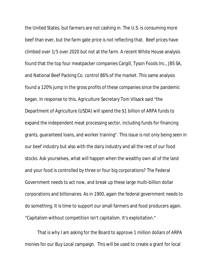the United States, but farmers are not cashing in. The U.S. is consuming more beef than ever, but the farm gate price is not reflecting that. Beef prices have climbed over 1/5 over 2020 but not at the farm. A recent White House analysis found that the top four meatpacker companies Cargill, Tyson Foods Inc., JBS SA, and National Beef Packing Co. control 86% of the market. This same analysis found a 120% jump in the gross profits of these companies since the pandemic began. In response to this, Agriculture Secretary Tom Vilsack said "the Department of Agriculture (USDA) will spend the \$1 billion of ARPA funds to expand the independent meat processing sector, including funds for financing grants, guaranteed loans, and worker training". This issue is not only being seen in our beef industry but also with the dairy industry and all the rest of our food stocks. Ask yourselves, what will happen when the wealthy own all of the land and your food is controlled by three or four big corporations? The Federal Government needs to act now, and break up these large multi-billion dollar corporations and billionaires. As in 1900, again the federal government needs to do something. It is time to support our small farmers and food producers again. "Capitalism without competition isn't capitalism. It's exploitation."

That is why I am asking for the Board to approve 1 million dollars of ARPA monies for our Buy Local campaign. This will be used to create a grant for local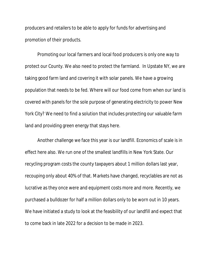producers and retailers to be able to apply for funds for advertising and promotion of their products.

Promoting our local farmers and local food producers is only one way to protect our County. We also need to protect the farmland. In Upstate NY, we are taking good farm land and covering it with solar panels. We have a growing population that needs to be fed. Where will our food come from when our land is covered with panels for the sole purpose of generating electricity to power New York City? We need to find a solution that includes protecting our valuable farm land and providing green energy that stays here.

Another challenge we face this year is our landfill. Economics of scale is in effect here also. We run one of the smallest landfills in New York State. Our recycling program costs the county taxpayers about 1 million dollars last year, recouping only about 40% of that. Markets have changed, recyclables are not as lucrative as they once were and equipment costs more and more. Recently, we purchased a bulldozer for half a million dollars only to be worn out in 10 years. We have initiated a study to look at the feasibility of our landfill and expect that to come back in late 2022 for a decision to be made in 2023.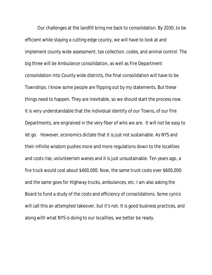Our challenges at the landfill bring me back to consolidation. By 2030, to be efficient while staying a cutting edge county, we will have to look at and implement county wide assessment, tax collection, codes, and animal control. The big three will be Ambulance consolidation, as well as Fire Department consolidation into County wide districts, the final consolidation will have to be Townships. I know some people are flipping out by my statements. But these things need to happen. They are inevitable, so we should start the process now. It is very understandable that the individual identity of our Towns, of our Fire Departments, are engrained in the very fiber of who we are. It will not be easy to let go. However, economics dictate that it is just not sustainable. As NYS and their infinite wisdom pushes more and more regulations down to the localities and costs rise, volunteerism wanes and it is just unsustainable. Ten years ago, a fire truck would cost about \$400,000. Now, the same truck costs over \$600,000 and the same goes for Highway trucks, ambulances, etc. I am also asking the Board to fund a study of the costs and efficiency of consolidations. Some cynics will call this an attempted takeover, but it's not. It is good business practices, and along with what NYS is doing to our localities, we better be ready.